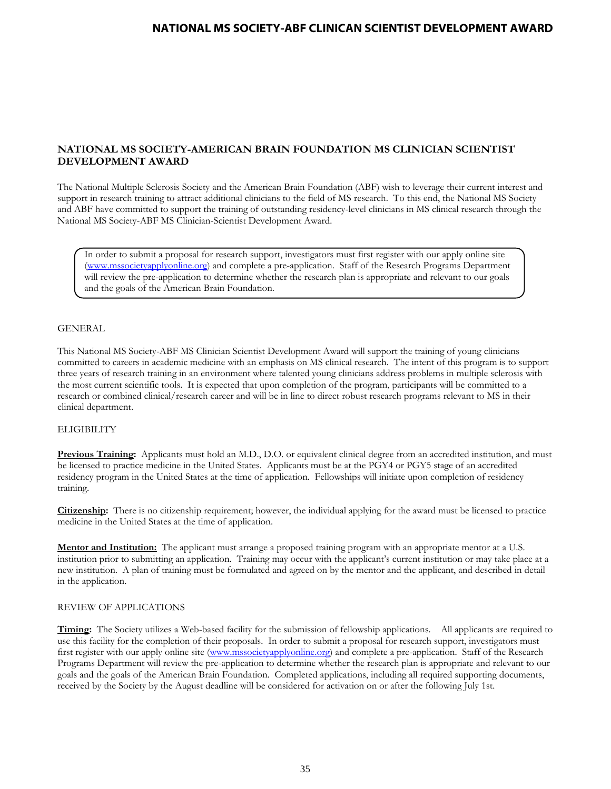## **NATIONAL MS SOCIETY-AMERICAN BRAIN FOUNDATION MS CLINICIAN SCIENTIST DEVELOPMENT AWARD**

The National Multiple Sclerosis Society and the American Brain Foundation (ABF) wish to leverage their current interest and support in research training to attract additional clinicians to the field of MS research. To this end, the National MS Society and ABF have committed to support the training of outstanding residency-level clinicians in MS clinical research through the National MS Society-ABF MS Clinician-Scientist Development Award.

In order to submit a proposal for research support, investigators must first register with our apply online site [\(www.mssocietyapplyonline.org\)](http://www.mssocietyapplyonline.org/) and complete a pre-application. Staff of the Research Programs Department will review the pre-application to determine whether the research plan is appropriate and relevant to our goals and the goals of the American Brain Foundation.

### GENERAL

This National MS Society-ABF MS Clinician Scientist Development Award will support the training of young clinicians committed to careers in academic medicine with an emphasis on MS clinical research. The intent of this program is to support three years of research training in an environment where talented young clinicians address problems in multiple sclerosis with the most current scientific tools. It is expected that upon completion of the program, participants will be committed to a research or combined clinical/research career and will be in line to direct robust research programs relevant to MS in their clinical department.

#### **ELIGIBILITY**

**Previous Training:** Applicants must hold an M.D., D.O. or equivalent clinical degree from an accredited institution, and must be licensed to practice medicine in the United States. Applicants must be at the PGY4 or PGY5 stage of an accredited residency program in the United States at the time of application. Fellowships will initiate upon completion of residency training.

**Citizenship:** There is no citizenship requirement; however, the individual applying for the award must be licensed to practice medicine in the United States at the time of application.

**Mentor and Institution:** The applicant must arrange a proposed training program with an appropriate mentor at a U.S. institution prior to submitting an application. Training may occur with the applicant's current institution or may take place at a new institution. A plan of training must be formulated and agreed on by the mentor and the applicant, and described in detail in the application.

### REVIEW OF APPLICATIONS

**Timing:** The Society utilizes a Web-based facility for the submission of fellowship applications. All applicants are required to use this facility for the completion of their proposals. In order to submit a proposal for research support, investigators must first register with our apply online site [\(www.mssocietyapplyonline.org\)](http://www.mssocietyapplyonline.org/) and complete a pre-application. Staff of the Research Programs Department will review the pre-application to determine whether the research plan is appropriate and relevant to our goals and the goals of the American Brain Foundation. Completed applications, including all required supporting documents, received by the Society by the August deadline will be considered for activation on or after the following July 1st.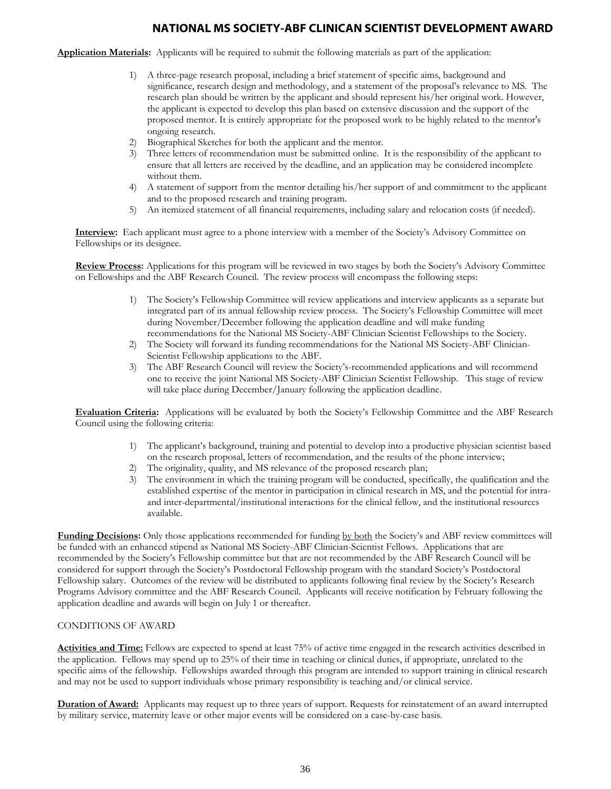**Application Materials:** Applicants will be required to submit the following materials as part of the application:

- 1) A three-page research proposal, including a brief statement of specific aims, background and significance, research design and methodology, and a statement of the proposal's relevance to MS. The research plan should be written by the applicant and should represent his/her original work. However, the applicant is expected to develop this plan based on extensive discussion and the support of the proposed mentor. It is entirely appropriate for the proposed work to be highly related to the mentor's ongoing research.
- 2) Biographical Sketches for both the applicant and the mentor.
- 3) Three letters of recommendation must be submitted online. It is the responsibility of the applicant to ensure that all letters are received by the deadline, and an application may be considered incomplete without them.
- 4) A statement of support from the mentor detailing his/her support of and commitment to the applicant and to the proposed research and training program.
- 5) An itemized statement of all financial requirements, including salary and relocation costs (if needed).

**Interview:** Each applicant must agree to a phone interview with a member of the Society's Advisory Committee on Fellowships or its designee.

**Review Process:** Applications for this program will be reviewed in two stages by both the Society's Advisory Committee on Fellowships and the ABF Research Council. The review process will encompass the following steps:

- 1) The Society's Fellowship Committee will review applications and interview applicants as a separate but integrated part of its annual fellowship review process. The Society's Fellowship Committee will meet during November/December following the application deadline and will make funding recommendations for the National MS Society-ABF Clinician Scientist Fellowships to the Society.
- 2) The Society will forward its funding recommendations for the National MS Society-ABF Clinician-Scientist Fellowship applications to the ABF.
- 3) The ABF Research Council will review the Society's-recommended applications and will recommend one to receive the joint National MS Society-ABF Clinician Scientist Fellowship. This stage of review will take place during December/January following the application deadline.

**Evaluation Criteria:** Applications will be evaluated by both the Society's Fellowship Committee and the ABF Research Council using the following criteria:

- 1) The applicant's background, training and potential to develop into a productive physician scientist based on the research proposal, letters of recommendation, and the results of the phone interview;
- 2) The originality, quality, and MS relevance of the proposed research plan;
- 3) The environment in which the training program will be conducted, specifically, the qualification and the established expertise of the mentor in participation in clinical research in MS, and the potential for intraand inter-departmental/institutional interactions for the clinical fellow, and the institutional resources available.

**Funding Decisions:** Only those applications recommended for funding by both the Society's and ABF review committees will be funded with an enhanced stipend as National MS Society-ABF Clinician-Scientist Fellows. Applications that are recommended by the Society's Fellowship committee but that are not recommended by the ABF Research Council will be considered for support through the Society's Postdoctoral Fellowship program with the standard Society's Postdoctoral Fellowship salary. Outcomes of the review will be distributed to applicants following final review by the Society's Research Programs Advisory committee and the ABF Research Council. Applicants will receive notification by February following the application deadline and awards will begin on July 1 or thereafter.

### CONDITIONS OF AWARD

**Activities and Time:** Fellows are expected to spend at least 75% of active time engaged in the research activities described in the application. Fellows may spend up to 25% of their time in teaching or clinical duties, if appropriate, unrelated to the specific aims of the fellowship. Fellowships awarded through this program are intended to support training in clinical research and may not be used to support individuals whose primary responsibility is teaching and/or clinical service.

**Duration of Award:** Applicants may request up to three years of support. Requests for reinstatement of an award interrupted by military service, maternity leave or other major events will be considered on a case-by-case basis.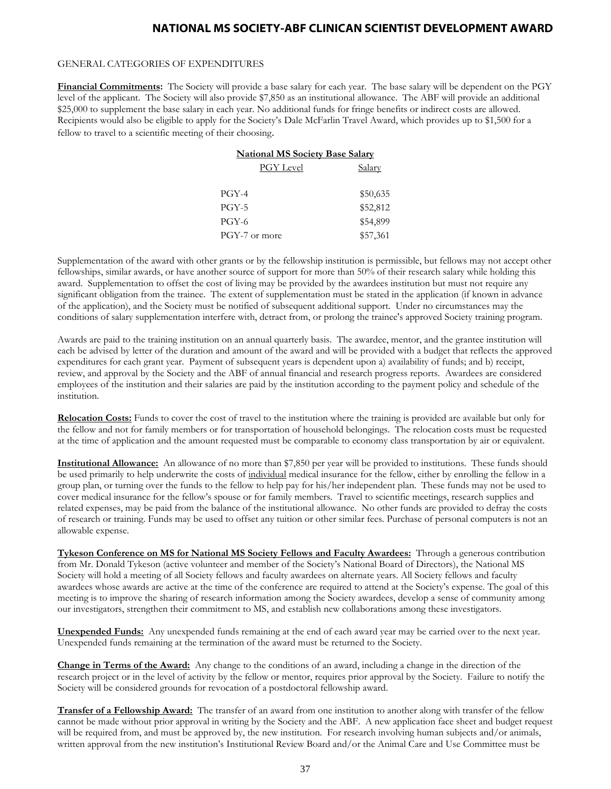#### GENERAL CATEGORIES OF EXPENDITURES

**Financial Commitments:** The Society will provide a base salary for each year. The base salary will be dependent on the PGY level of the applicant. The Society will also provide \$7,850 as an institutional allowance. The ABF will provide an additional \$25,000 to supplement the base salary in each year. No additional funds for fringe benefits or indirect costs are allowed. Recipients would also be eligible to apply for the Society's Dale McFarlin Travel Award, which provides up to \$1,500 for a fellow to travel to a scientific meeting of their choosing.

| <b>National MS Society Base Salary</b> |               |
|----------------------------------------|---------------|
| PGY Level                              | <b>Salary</b> |
| $PGY-4$                                | \$50,635      |
| <b>PGY-5</b>                           | \$52,812      |
| PGY-6                                  | \$54,899      |
| PGY-7 or more                          | \$57,361      |

Supplementation of the award with other grants or by the fellowship institution is permissible, but fellows may not accept other fellowships, similar awards, or have another source of support for more than 50% of their research salary while holding this award. Supplementation to offset the cost of living may be provided by the awardees institution but must not require any significant obligation from the trainee. The extent of supplementation must be stated in the application (if known in advance of the application), and the Society must be notified of subsequent additional support. Under no circumstances may the conditions of salary supplementation interfere with, detract from, or prolong the trainee's approved Society training program.

Awards are paid to the training institution on an annual quarterly basis. The awardee, mentor, and the grantee institution will each be advised by letter of the duration and amount of the award and will be provided with a budget that reflects the approved expenditures for each grant year. Payment of subsequent years is dependent upon a) availability of funds; and b) receipt, review, and approval by the Society and the ABF of annual financial and research progress reports. Awardees are considered employees of the institution and their salaries are paid by the institution according to the payment policy and schedule of the institution.

**Relocation Costs:** Funds to cover the cost of travel to the institution where the training is provided are available but only for the fellow and not for family members or for transportation of household belongings. The relocation costs must be requested at the time of application and the amount requested must be comparable to economy class transportation by air or equivalent.

**Institutional Allowance:** An allowance of no more than \$7,850 per year will be provided to institutions. These funds should be used primarily to help underwrite the costs of individual medical insurance for the fellow, either by enrolling the fellow in a group plan, or turning over the funds to the fellow to help pay for his/her independent plan. These funds may not be used to cover medical insurance for the fellow's spouse or for family members. Travel to scientific meetings, research supplies and related expenses, may be paid from the balance of the institutional allowance. No other funds are provided to defray the costs of research or training. Funds may be used to offset any tuition or other similar fees. Purchase of personal computers is not an allowable expense.

**Tykeson Conference on MS for National MS Society Fellows and Faculty Awardees:** Through a generous contribution from Mr. Donald Tykeson (active volunteer and member of the Society's National Board of Directors), the National MS Society will hold a meeting of all Society fellows and faculty awardees on alternate years. All Society fellows and faculty awardees whose awards are active at the time of the conference are required to attend at the Society's expense. The goal of this meeting is to improve the sharing of research information among the Society awardees, develop a sense of community among our investigators, strengthen their commitment to MS, and establish new collaborations among these investigators.

**Unexpended Funds:** Any unexpended funds remaining at the end of each award year may be carried over to the next year. Unexpended funds remaining at the termination of the award must be returned to the Society.

**Change in Terms of the Award:** Any change to the conditions of an award, including a change in the direction of the research project or in the level of activity by the fellow or mentor, requires prior approval by the Society. Failure to notify the Society will be considered grounds for revocation of a postdoctoral fellowship award.

**Transfer of a Fellowship Award:** The transfer of an award from one institution to another along with transfer of the fellow cannot be made without prior approval in writing by the Society and the ABF. A new application face sheet and budget request will be required from, and must be approved by, the new institution. For research involving human subjects and/or animals, written approval from the new institution's Institutional Review Board and/or the Animal Care and Use Committee must be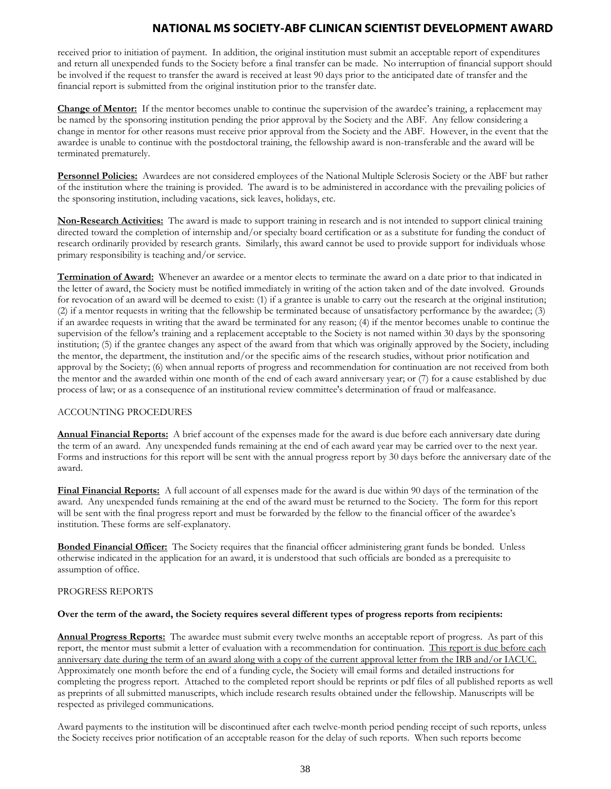received prior to initiation of payment. In addition, the original institution must submit an acceptable report of expenditures and return all unexpended funds to the Society before a final transfer can be made. No interruption of financial support should be involved if the request to transfer the award is received at least 90 days prior to the anticipated date of transfer and the financial report is submitted from the original institution prior to the transfer date.

**Change of Mentor:** If the mentor becomes unable to continue the supervision of the awardee's training, a replacement may be named by the sponsoring institution pending the prior approval by the Society and the ABF. Any fellow considering a change in mentor for other reasons must receive prior approval from the Society and the ABF. However, in the event that the awardee is unable to continue with the postdoctoral training, the fellowship award is non-transferable and the award will be terminated prematurely.

**Personnel Policies:** Awardees are not considered employees of the National Multiple Sclerosis Society or the ABF but rather of the institution where the training is provided. The award is to be administered in accordance with the prevailing policies of the sponsoring institution, including vacations, sick leaves, holidays, etc.

**Non-Research Activities:** The award is made to support training in research and is not intended to support clinical training directed toward the completion of internship and/or specialty board certification or as a substitute for funding the conduct of research ordinarily provided by research grants. Similarly, this award cannot be used to provide support for individuals whose primary responsibility is teaching and/or service.

**Termination of Award:** Whenever an awardee or a mentor elects to terminate the award on a date prior to that indicated in the letter of award, the Society must be notified immediately in writing of the action taken and of the date involved. Grounds for revocation of an award will be deemed to exist: (1) if a grantee is unable to carry out the research at the original institution; (2) if a mentor requests in writing that the fellowship be terminated because of unsatisfactory performance by the awardee; (3) if an awardee requests in writing that the award be terminated for any reason; (4) if the mentor becomes unable to continue the supervision of the fellow's training and a replacement acceptable to the Society is not named within 30 days by the sponsoring institution; (5) if the grantee changes any aspect of the award from that which was originally approved by the Society, including the mentor, the department, the institution and/or the specific aims of the research studies, without prior notification and approval by the Society; (6) when annual reports of progress and recommendation for continuation are not received from both the mentor and the awarded within one month of the end of each award anniversary year; or (7) for a cause established by due process of law; or as a consequence of an institutional review committee's determination of fraud or malfeasance.

### ACCOUNTING PROCEDURES

**Annual Financial Reports:** A brief account of the expenses made for the award is due before each anniversary date during the term of an award. Any unexpended funds remaining at the end of each award year may be carried over to the next year. Forms and instructions for this report will be sent with the annual progress report by 30 days before the anniversary date of the award.

**Final Financial Reports:** A full account of all expenses made for the award is due within 90 days of the termination of the award. Any unexpended funds remaining at the end of the award must be returned to the Society. The form for this report will be sent with the final progress report and must be forwarded by the fellow to the financial officer of the awardee's institution. These forms are self-explanatory.

**Bonded Financial Officer:** The Society requires that the financial officer administering grant funds be bonded. Unless otherwise indicated in the application for an award, it is understood that such officials are bonded as a prerequisite to assumption of office.

### PROGRESS REPORTS

#### **Over the term of the award, the Society requires several different types of progress reports from recipients:**

**Annual Progress Reports:** The awardee must submit every twelve months an acceptable report of progress. As part of this report, the mentor must submit a letter of evaluation with a recommendation for continuation. This report is due before each anniversary date during the term of an award along with a copy of the current approval letter from the IRB and/or IACUC. Approximately one month before the end of a funding cycle, the Society will email forms and detailed instructions for completing the progress report. Attached to the completed report should be reprints or pdf files of all published reports as well as preprints of all submitted manuscripts, which include research results obtained under the fellowship. Manuscripts will be respected as privileged communications.

Award payments to the institution will be discontinued after each twelve-month period pending receipt of such reports, unless the Society receives prior notification of an acceptable reason for the delay of such reports. When such reports become